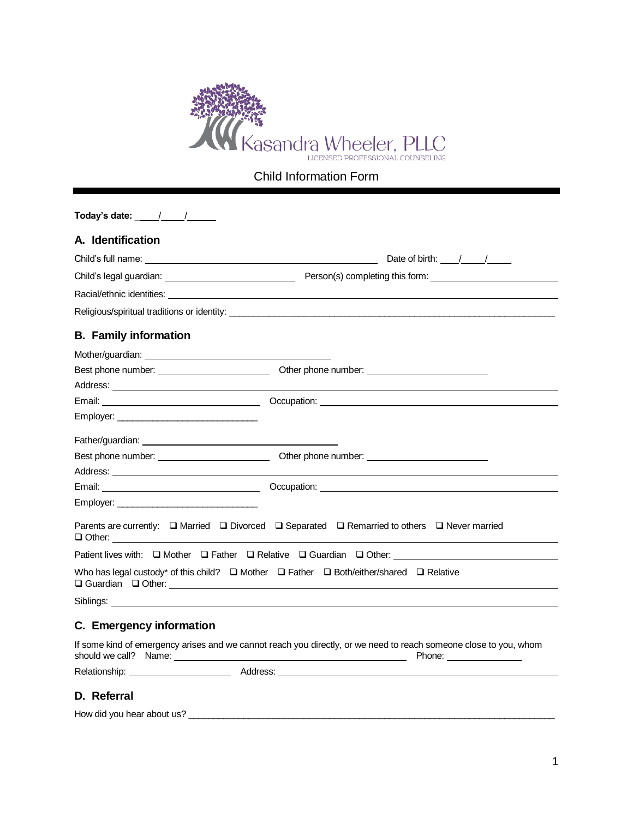

Child Information Form

| Today's date: $\frac{1}{2}$ $\frac{1}{2}$ $\frac{1}{2}$ $\frac{1}{2}$ $\frac{1}{2}$ $\frac{1}{2}$                                                                                                                                    |                                                                                                                                                                                                                                |
|--------------------------------------------------------------------------------------------------------------------------------------------------------------------------------------------------------------------------------------|--------------------------------------------------------------------------------------------------------------------------------------------------------------------------------------------------------------------------------|
| A. Identification                                                                                                                                                                                                                    |                                                                                                                                                                                                                                |
|                                                                                                                                                                                                                                      |                                                                                                                                                                                                                                |
|                                                                                                                                                                                                                                      |                                                                                                                                                                                                                                |
|                                                                                                                                                                                                                                      |                                                                                                                                                                                                                                |
|                                                                                                                                                                                                                                      |                                                                                                                                                                                                                                |
| <b>B.</b> Family information                                                                                                                                                                                                         |                                                                                                                                                                                                                                |
|                                                                                                                                                                                                                                      |                                                                                                                                                                                                                                |
|                                                                                                                                                                                                                                      | Best phone number: Change of Deference of Deference of Deference of Deference of Deference of Deference of Deference of Deference of Deference of Deference of Deference of Deference of Deference of Deference of Deference o |
|                                                                                                                                                                                                                                      |                                                                                                                                                                                                                                |
|                                                                                                                                                                                                                                      |                                                                                                                                                                                                                                |
| Employer: __________________________________                                                                                                                                                                                         |                                                                                                                                                                                                                                |
|                                                                                                                                                                                                                                      |                                                                                                                                                                                                                                |
|                                                                                                                                                                                                                                      |                                                                                                                                                                                                                                |
|                                                                                                                                                                                                                                      |                                                                                                                                                                                                                                |
|                                                                                                                                                                                                                                      |                                                                                                                                                                                                                                |
| Employer:                                                                                                                                                                                                                            |                                                                                                                                                                                                                                |
|                                                                                                                                                                                                                                      | Parents are currently: $\Box$ Married $\Box$ Divorced $\Box$ Separated $\Box$ Remarried to others $\Box$ Never married                                                                                                         |
|                                                                                                                                                                                                                                      | Patient lives with: Q Mother Q Father Q Relative Q Guardian Q Other: ______________________________                                                                                                                            |
|                                                                                                                                                                                                                                      | Who has legal custody* of this child? $\square$ Mother $\square$ Father $\square$ Both/either/shared $\square$ Relative                                                                                                        |
|                                                                                                                                                                                                                                      |                                                                                                                                                                                                                                |
| C. Emergency information                                                                                                                                                                                                             |                                                                                                                                                                                                                                |
| should we call? Name: <u>contained a series and contained a series of the series of the series of the series of the series of the series of the series of the series of the series of the series of the series of the series of </u> | If some kind of emergency arises and we cannot reach you directly, or we need to reach someone close to you, whom<br>Phone: ________________                                                                                   |
|                                                                                                                                                                                                                                      |                                                                                                                                                                                                                                |
| D. Referral                                                                                                                                                                                                                          |                                                                                                                                                                                                                                |

How did you hear about us? \_\_\_\_\_\_\_\_\_\_\_\_\_\_\_\_\_\_\_\_\_\_\_\_\_\_\_\_\_\_\_\_\_\_\_\_\_\_\_\_\_\_\_\_\_\_\_\_\_\_\_\_\_\_\_\_\_\_\_\_\_\_\_\_\_\_\_\_\_\_\_\_\_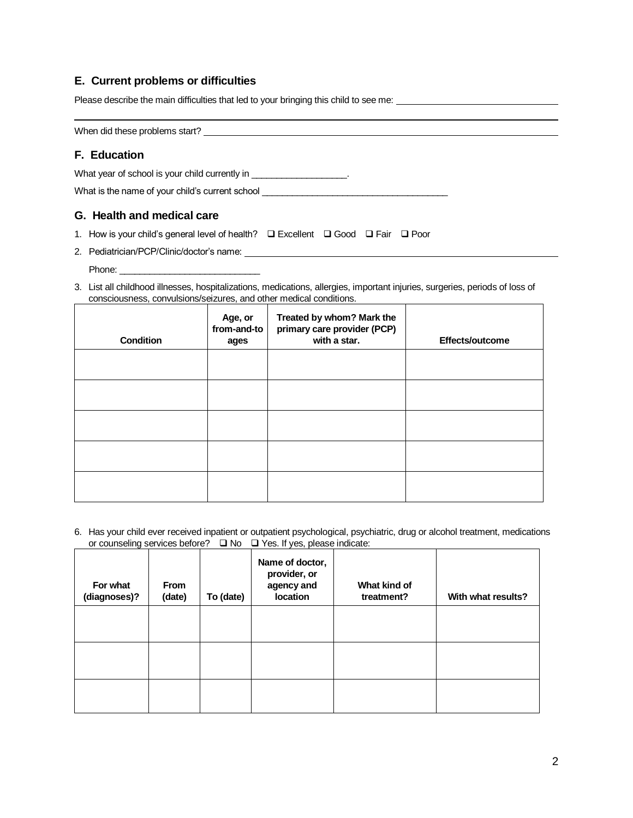# **E. Current problems or difficulties**

Please describe the main difficulties that led to your bringing this child to see me:

When did these problems start?

# **F. Education**

What year of school is your child currently in \_\_\_\_\_\_\_\_\_\_\_\_\_\_\_\_\_\_\_\_.

What is the name of your child's current school

## **G. Health and medical care**

- 1. How is your child's general level of health? ❑ Excellent ❑ Good ❑ Fair ❑ Poor
- 2. Pediatrician/PCP/Clinic/doctor's name:

Phone:

3. List all childhood illnesses, hospitalizations, medications, allergies, important injuries, surgeries, periods of loss of consciousness, convulsions/seizures, and other medical conditions.

| <b>Condition</b> | Age, or<br>from-and-to<br>ages | Treated by whom? Mark the<br>primary care provider (PCP)<br>with a star. | Effects/outcome |
|------------------|--------------------------------|--------------------------------------------------------------------------|-----------------|
|                  |                                |                                                                          |                 |
|                  |                                |                                                                          |                 |
|                  |                                |                                                                          |                 |
|                  |                                |                                                                          |                 |
|                  |                                |                                                                          |                 |

6. Has your child ever received inpatient or outpatient psychological, psychiatric, drug or alcohol treatment, medications or counseling services before? ❑ No ❑ Yes. If yes, please indicate:

| For what<br>(diagnoses)? | <b>From</b><br>(date) | To (date) | Name of doctor,<br>provider, or<br>agency and<br>location | What kind of<br>treatment? | With what results? |
|--------------------------|-----------------------|-----------|-----------------------------------------------------------|----------------------------|--------------------|
|                          |                       |           |                                                           |                            |                    |
|                          |                       |           |                                                           |                            |                    |
|                          |                       |           |                                                           |                            |                    |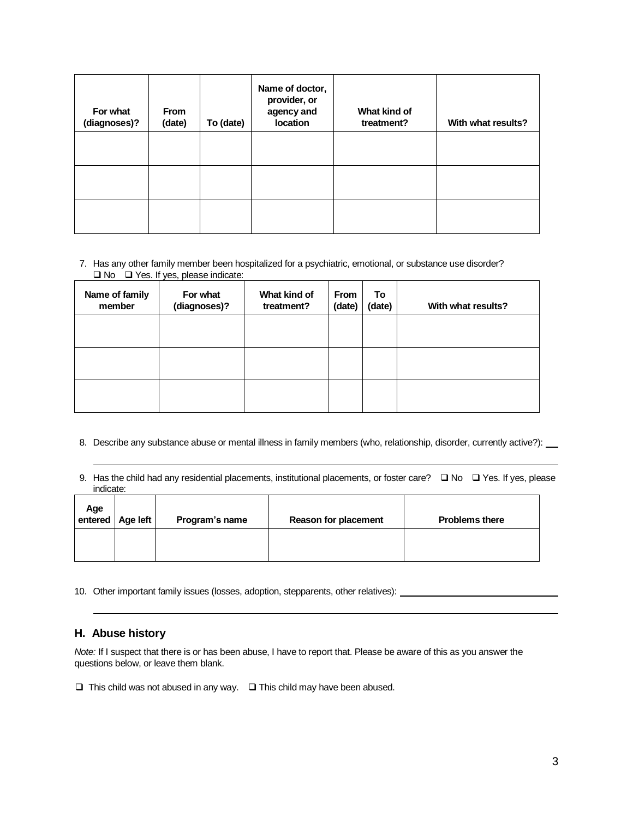| For what<br>(diagnoses)? | <b>From</b><br>(date) | To (date) | Name of doctor,<br>provider, or<br>agency and<br>location | What kind of<br>treatment? | With what results? |
|--------------------------|-----------------------|-----------|-----------------------------------------------------------|----------------------------|--------------------|
|                          |                       |           |                                                           |                            |                    |
|                          |                       |           |                                                           |                            |                    |
|                          |                       |           |                                                           |                            |                    |

#### 7. Has any other family member been hospitalized for a psychiatric, emotional, or substance use disorder? ❑ No ❑ Yes. If yes, please indicate:

| Name of family<br>member | For what<br>(diagnoses)? | What kind of<br>treatment? | <b>From</b><br>(date) | To<br>(date) | With what results? |
|--------------------------|--------------------------|----------------------------|-----------------------|--------------|--------------------|
|                          |                          |                            |                       |              |                    |
|                          |                          |                            |                       |              |                    |
|                          |                          |                            |                       |              |                    |

- 8. Describe any substance abuse or mental illness in family members (who, relationship, disorder, currently active?): \_\_
- 9. Has the child had any residential placements, institutional placements, or foster care? □ No □ Yes. If yes, please indicate:

| Age<br>entered | Age left | Program's name | <b>Reason for placement</b> | <b>Problems there</b> |
|----------------|----------|----------------|-----------------------------|-----------------------|
|                |          |                |                             |                       |

10. Other important family issues (losses, adoption, stepparents, other relatives):

## **H. Abuse history**

*Note:* If I suspect that there is or has been abuse, I have to report that. Please be aware of this as you answer the questions below, or leave them blank.

❑ This child was not abused in any way. ❑ This child may have been abused.